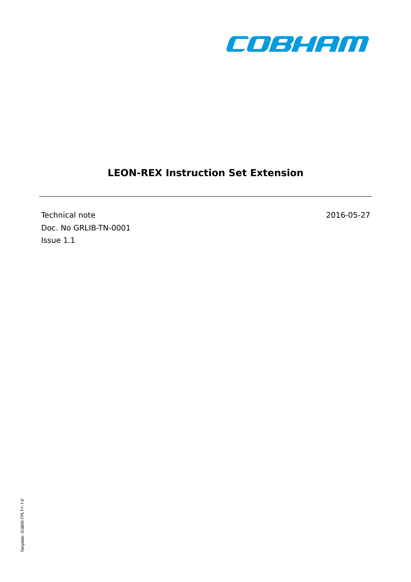

# **LEON-REX Instruction Set Extension**

Technical note 2016-05-27 Doc. No GRLIB-TN-0001 Issue 1.1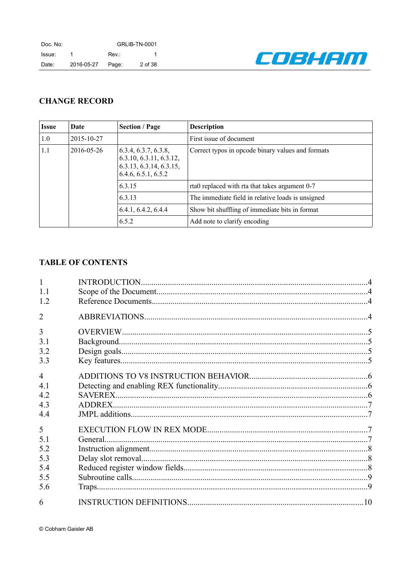

## **CHANGE RECORD**

| <b>Issue</b>                            | Date                                                                                                            | <b>Section / Page</b> | <b>Description</b>                                |
|-----------------------------------------|-----------------------------------------------------------------------------------------------------------------|-----------------------|---------------------------------------------------|
| 1.0                                     | 2015-10-27                                                                                                      |                       | First issue of document                           |
| 1.1                                     | 2016-05-26<br>6.3.4, 6.3.7, 6.3.8,<br>6.3.10, 6.3.11, 6.3.12,<br>6.3.13, 6.3.14, 6.3.15,<br>6.4.6, 6.5.1, 6.5.2 |                       | Correct typos in opcode binary values and formats |
| 6.3.15<br>6.3.13<br>6.4.1, 6.4.2, 6.4.4 |                                                                                                                 |                       | rta0 replaced with rta that takes argument 0-7    |
|                                         |                                                                                                                 |                       | The immediate field in relative loads is unsigned |
|                                         |                                                                                                                 |                       | Show bit shuffling of immediate bits in format    |
|                                         |                                                                                                                 | 6.5.2                 | Add note to clarify encoding                      |

## **TABLE OF CONTENTS**

| 1.1            |  |
|----------------|--|
| 1.2            |  |
| $\overline{2}$ |  |
| 3              |  |
| 3.1            |  |
| 3.2            |  |
| 3.3            |  |
| $\overline{4}$ |  |
| 41             |  |
| 4.2            |  |
| 4.3            |  |
| 4.4            |  |
| 5              |  |
| 5 1            |  |
| 5.2            |  |
| 5.3            |  |
| 5.4            |  |
| 5.5            |  |
| 5.6            |  |
| 6              |  |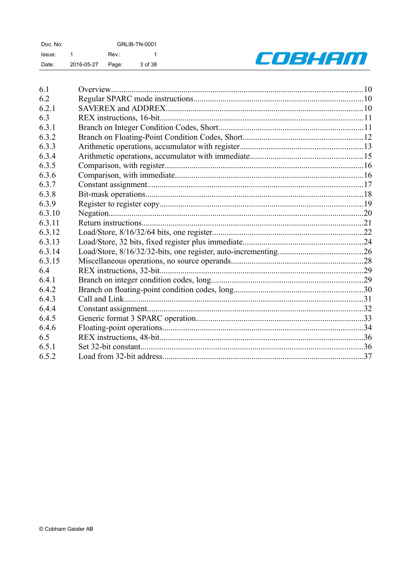| Doc. No: |            | <b>GRLIB-TN-0001</b> |         |  |
|----------|------------|----------------------|---------|--|
| Issue:   |            | Rev.:                |         |  |
| Date:    | 2016-05-27 | Page:                | 3 of 38 |  |



| 6.1    |  |
|--------|--|
| 6.2    |  |
| 6.2.1  |  |
| 6.3    |  |
| 6.3.1  |  |
| 6.3.2  |  |
| 6.3.3  |  |
| 6.3.4  |  |
| 6.3.5  |  |
| 6.3.6  |  |
| 6.3.7  |  |
| 6.3.8  |  |
| 6.3.9  |  |
| 6.3.10 |  |
| 6.3.11 |  |
| 6.3.12 |  |
| 6.3.13 |  |
| 6.3.14 |  |
| 6.3.15 |  |
| 6.4    |  |
| 6.4.1  |  |
| 6.4.2  |  |
| 6.4.3  |  |
| 6.4.4  |  |
| 6.4.5  |  |
| 6.4.6  |  |
| 6.5    |  |
| 6.5.1  |  |
| 6.5.2  |  |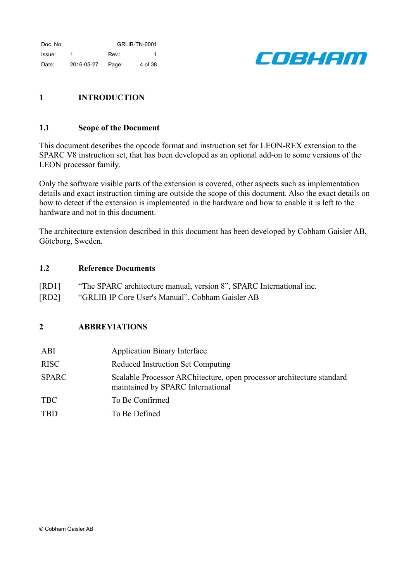

## <span id="page-3-0"></span>**1 INTRODUCTION**

### <span id="page-3-3"></span>**1.1 Scope of the Document**

This document describes the opcode format and instruction set for LEON-REX extension to the SPARC V8 instruction set, that has been developed as an optional add-on to some versions of the LEON processor family.

Only the software visible parts of the extension is covered, other aspects such as implementation details and exact instruction timing are outside the scope of this document. Also the exact details on how to detect if the extension is implemented in the hardware and how to enable it is left to the hardware and not in this document.

The architecture extension described in this document has been developed by Cobham Gaisler AB, Göteborg, Sweden.

### <span id="page-3-2"></span>**1.2 Reference Documents**

- [RD1] "The SPARC architecture manual, version 8", SPARC International inc.
- [RD2] "GRLIB IP Core User's Manual", Cobham Gaisler AB

## <span id="page-3-1"></span>**2 ABBREVIATIONS**

| ABI          | <b>Application Binary Interface</b>                                                                        |
|--------------|------------------------------------------------------------------------------------------------------------|
| <b>RISC</b>  | <b>Reduced Instruction Set Computing</b>                                                                   |
| <b>SPARC</b> | Scalable Processor ARChitecture, open processor architecture standard<br>maintained by SPARC International |
| <b>TBC</b>   | To Be Confirmed                                                                                            |
| <b>TBD</b>   | To Be Defined                                                                                              |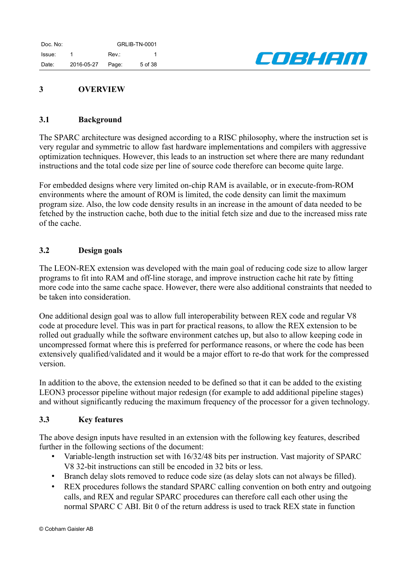

## <span id="page-4-3"></span>**3 OVERVIEW**

### <span id="page-4-2"></span>**3.1 Background**

The SPARC architecture was designed according to a RISC philosophy, where the instruction set is very regular and symmetric to allow fast hardware implementations and compilers with aggressive optimization techniques. However, this leads to an instruction set where there are many redundant instructions and the total code size per line of source code therefore can become quite large.

For embedded designs where very limited on-chip RAM is available, or in execute-from-ROM environments where the amount of ROM is limited, the code density can limit the maximum program size. Also, the low code density results in an increase in the amount of data needed to be fetched by the instruction cache, both due to the initial fetch size and due to the increased miss rate of the cache.

### <span id="page-4-1"></span>**3.2 Design goals**

The LEON-REX extension was developed with the main goal of reducing code size to allow larger programs to fit into RAM and off-line storage, and improve instruction cache hit rate by fitting more code into the same cache space. However, there were also additional constraints that needed to be taken into consideration.

One additional design goal was to allow full interoperability between REX code and regular V8 code at procedure level. This was in part for practical reasons, to allow the REX extension to be rolled out gradually while the software environment catches up, but also to allow keeping code in uncompressed format where this is preferred for performance reasons, or where the code has been extensively qualified/validated and it would be a major effort to re-do that work for the compressed version.

In addition to the above, the extension needed to be defined so that it can be added to the existing LEON3 processor pipeline without major redesign (for example to add additional pipeline stages) and without significantly reducing the maximum frequency of the processor for a given technology.

### <span id="page-4-0"></span>**3.3 Key features**

The above design inputs have resulted in an extension with the following key features, described further in the following sections of the document:

- Variable-length instruction set with 16/32/48 bits per instruction. Vast majority of SPARC V8 32-bit instructions can still be encoded in 32 bits or less.
- Branch delay slots removed to reduce code size (as delay slots can not always be filled).
- REX procedures follows the standard SPARC calling convention on both entry and outgoing calls, and REX and regular SPARC procedures can therefore call each other using the normal SPARC C ABI. Bit 0 of the return address is used to track REX state in function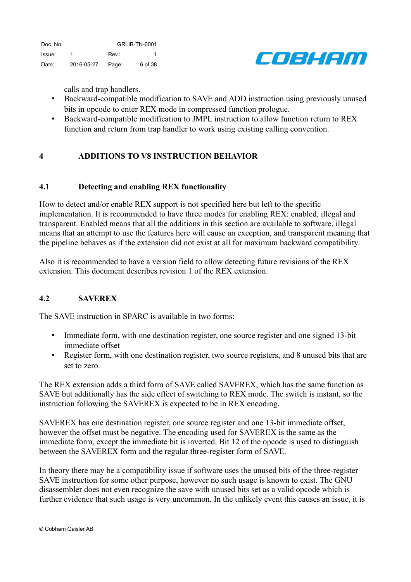

calls and trap handlers.

- Backward-compatible modification to SAVE and ADD instruction using previously unused bits in opcode to enter REX mode in compressed function prologue.
- Backward-compatible modification to JMPL instruction to allow function return to REX function and return from trap handler to work using existing calling convention.

## <span id="page-5-2"></span>**4 ADDITIONS TO V8 INSTRUCTION BEHAVIOR**

## <span id="page-5-1"></span>**4.1 Detecting and enabling REX functionality**

How to detect and/or enable REX support is not specified here but left to the specific implementation. It is recommended to have three modes for enabling REX: enabled, illegal and transparent. Enabled means that all the additions in this section are available to software, illegal means that an attempt to use the features here will cause an exception, and transparent meaning that the pipeline behaves as if the extension did not exist at all for maximum backward compatibility.

Also it is recommended to have a version field to allow detecting future revisions of the REX extension. This document describes revision 1 of the REX extension.

## <span id="page-5-0"></span>**4.2 SAVEREX**

The SAVE instruction in SPARC is available in two forms:

- Immediate form, with one destination register, one source register and one signed 13-bit immediate offset
- Register form, with one destination register, two source registers, and 8 unused bits that are set to zero.

The REX extension adds a third form of SAVE called SAVEREX, which has the same function as SAVE but additionally has the side effect of switching to REX mode. The switch is instant, so the instruction following the SAVEREX is expected to be in REX encoding.

SAVEREX has one destination register, one source register and one 13-bit immediate offset, however the offset must be negative. The encoding used for SAVEREX is the same as the immediate form, except the immediate bit is inverted. Bit 12 of the opcode is used to distinguish between the SAVEREX form and the regular three-register form of SAVE.

In theory there may be a compatibility issue if software uses the unused bits of the three-register SAVE instruction for some other purpose, however no such usage is known to exist. The GNU disassembler does not even recognize the save with unused bits set as a valid opcode which is further evidence that such usage is very uncommon. In the unlikely event this causes an issue, it is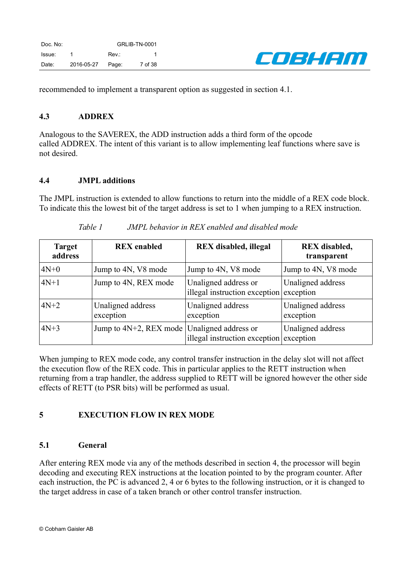

recommended to implement a transparent option as suggested in section [4.1.](#page-5-1)

### <span id="page-6-3"></span>**4.3 ADDREX**

Analogous to the SAVEREX, the ADD instruction adds a third form of the opcode called ADDREX. The intent of this variant is to allow implementing leaf functions where save is not desired.

### <span id="page-6-2"></span>**4.4 JMPL additions**

The JMPL instruction is extended to allow functions to return into the middle of a REX code block. To indicate this the lowest bit of the target address is set to 1 when jumping to a REX instruction.

| <b>Target</b><br>address | <b>REX</b> enabled                               | <b>REX</b> disabled, illegal                          | <b>REX</b> disabled,<br>transparent |
|--------------------------|--------------------------------------------------|-------------------------------------------------------|-------------------------------------|
| $4N+0$                   | Jump to 4N, V8 mode                              | Jump to 4N, V8 mode                                   | Jump to 4N, V8 mode                 |
| $4N+1$                   | Jump to 4N, REX mode                             | Unaligned address or<br>illegal instruction exception | Unaligned address<br>exception      |
| $4N+2$                   | Unaligned address<br>exception                   | Unaligned address<br>exception                        | Unaligned address<br>exception      |
| $4N+3$                   | Jump to $4N+2$ , REX mode   Unaligned address or | illegal instruction exception                         | Unaligned address<br>exception      |

*Table 1 JMPL behavior in REX enabled and disabled mode*

When jumping to REX mode code, any control transfer instruction in the delay slot will not affect the execution flow of the REX code. This in particular applies to the RETT instruction when returning from a trap handler, the address supplied to RETT will be ignored however the other side effects of RETT (to PSR bits) will be performed as usual.

## <span id="page-6-1"></span>**5 EXECUTION FLOW IN REX MODE**

## <span id="page-6-0"></span>**5.1 General**

After entering REX mode via any of the methods described in section [4,](#page-5-2) the processor will begin decoding and executing REX instructions at the location pointed to by the program counter. After each instruction, the PC is advanced 2, 4 or 6 bytes to the following instruction, or it is changed to the target address in case of a taken branch or other control transfer instruction.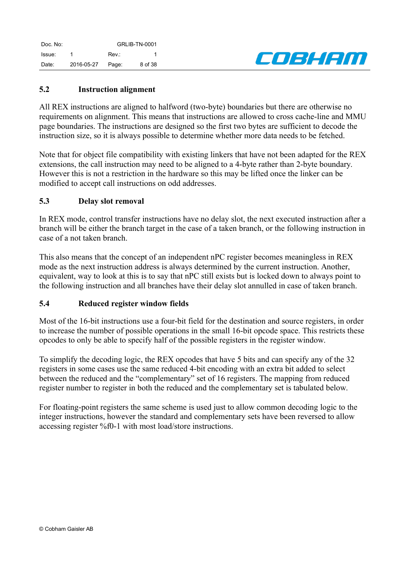Doc. No: GRLIB-TN-0001 Issue: 1 Rev.: 1 Date: 2016-05-27 Page: 8 of 38



## <span id="page-7-2"></span>**5.2 Instruction alignment**

All REX instructions are aligned to halfword (two-byte) boundaries but there are otherwise no requirements on alignment. This means that instructions are allowed to cross cache-line and MMU page boundaries. The instructions are designed so the first two bytes are sufficient to decode the instruction size, so it is always possible to determine whether more data needs to be fetched.

Note that for object file compatibility with existing linkers that have not been adapted for the REX extensions, the call instruction may need to be aligned to a 4-byte rather than 2-byte boundary. However this is not a restriction in the hardware so this may be lifted once the linker can be modified to accept call instructions on odd addresses.

### <span id="page-7-1"></span>**5.3 Delay slot removal**

In REX mode, control transfer instructions have no delay slot, the next executed instruction after a branch will be either the branch target in the case of a taken branch, or the following instruction in case of a not taken branch.

This also means that the concept of an independent nPC register becomes meaningless in REX mode as the next instruction address is always determined by the current instruction. Another, equivalent, way to look at this is to say that nPC still exists but is locked down to always point to the following instruction and all branches have their delay slot annulled in case of taken branch.

### <span id="page-7-0"></span>**5.4 Reduced register window fields**

Most of the 16-bit instructions use a four-bit field for the destination and source registers, in order to increase the number of possible operations in the small 16-bit opcode space. This restricts these opcodes to only be able to specify half of the possible registers in the register window.

To simplify the decoding logic, the REX opcodes that have 5 bits and can specify any of the 32 registers in some cases use the same reduced 4-bit encoding with an extra bit added to select between the reduced and the "complementary" set of 16 registers. The mapping from reduced register number to register in both the reduced and the complementary set is tabulated below.

For floating-point registers the same scheme is used just to allow common decoding logic to the integer instructions, however the standard and complementary sets have been reversed to allow accessing register %f0-1 with most load/store instructions.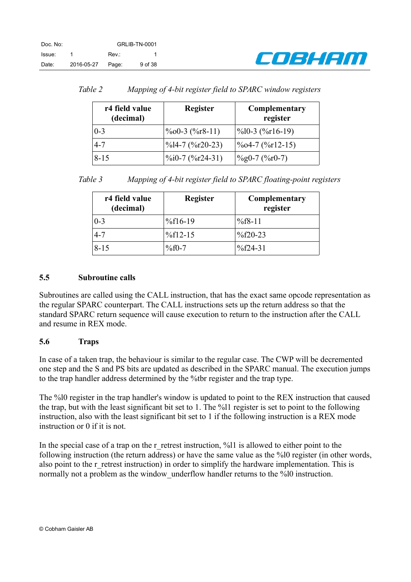

| Table 2 |  | Mapping of 4-bit register field to SPARC window registers |  |  |  |  |
|---------|--|-----------------------------------------------------------|--|--|--|--|
|---------|--|-----------------------------------------------------------|--|--|--|--|

| r4 field value<br>(decimal) | <b>Register</b>                            | Complementary<br>register |
|-----------------------------|--------------------------------------------|---------------------------|
| $0 - 3$                     | $\%$ 00-3 ( $\%$ r8-11)                    | $\frac{\%10-3}{\%16-19}$  |
| $4 - 7$                     | $\frac{9}{6}$ l4-7 ( $\frac{9}{6}$ r20-23) | $\frac{\%04-7}{\%12-15}$  |
| $8 - 15$                    | $\%$ i0-7 ( $\%$ r24-31)                   | $\frac{9}{9}$ (%p0-7)     |

*Table 3 Mapping of 4-bit register field to SPARC floating-point registers*

| r4 field value<br>(decimal) | <b>Register</b> | Complementary<br>register |
|-----------------------------|-----------------|---------------------------|
| $0 - 3$                     | $\%$ f16-19     | $%f8-11$                  |
| 4-7                         | $%f12-15$       | $\frac{9}{6}$ f20-23      |
| $8 - 15$                    | $%f0-7$         | $%f24-31$                 |

## <span id="page-8-1"></span>**5.5 Subroutine calls**

Subroutines are called using the CALL instruction, that has the exact same opcode representation as the regular SPARC counterpart. The CALL instructions sets up the return address so that the standard SPARC return sequence will cause execution to return to the instruction after the CALL and resume in REX mode.

## <span id="page-8-0"></span>**5.6 Traps**

In case of a taken trap, the behaviour is similar to the regular case. The CWP will be decremented one step and the S and PS bits are updated as described in the SPARC manual. The execution jumps to the trap handler address determined by the %tbr register and the trap type.

The %l0 register in the trap handler's window is updated to point to the REX instruction that caused the trap, but with the least significant bit set to 1. The %l1 register is set to point to the following instruction, also with the least significant bit set to 1 if the following instruction is a REX mode instruction or 0 if it is not.

In the special case of a trap on the r\_retrest instruction,  $\frac{1}{1}$  is allowed to either point to the following instruction (the return address) or have the same value as the %l0 register (in other words, also point to the r\_retrest instruction) in order to simplify the hardware implementation. This is normally not a problem as the window underflow handler returns to the %10 instruction.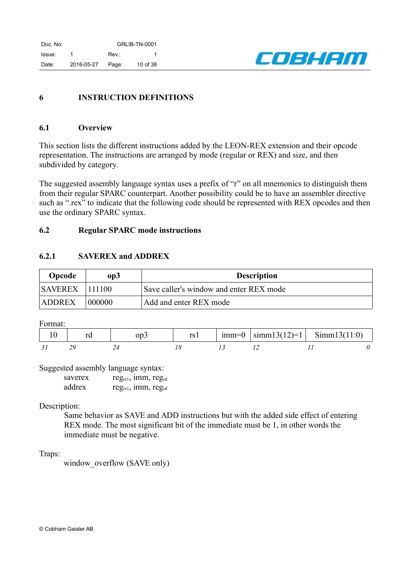

## <span id="page-9-0"></span>**6 INSTRUCTION DEFINITIONS**

#### <span id="page-9-3"></span>**6.1 Overview**

This section lists the different instructions added by the LEON-REX extension and their opcode representation. The instructions are arranged by mode (regular or REX) and size, and then subdivided by category.

The suggested assembly language syntax uses a prefix of "r" on all mnemonics to distinguish them from their regular SPARC counterpart. Another possibility could be to have an assembler directive such as ".rex" to indicate that the following code should be represented with REX opcodes and then use the ordinary SPARC syntax.

### <span id="page-9-2"></span>**6.2 Regular SPARC mode instructions**

### <span id="page-9-1"></span>**6.2.1 SAVEREX and ADDREX**

| Opcode         | op3    | <b>Description</b>                      |
|----------------|--------|-----------------------------------------|
| <b>SAVEREX</b> | 111100 | Save caller's window and enter REX mode |
| <b>ADDREX</b>  | 000000 | Add and enter REX mode                  |

Format:

|  | ∩n | rs l | $mm=0$ | $\left  \text{simm13(12)} \right  = 1$ Simm13(11:0) |  |
|--|----|------|--------|-----------------------------------------------------|--|
|  |    |      |        |                                                     |  |

Suggested assembly language syntax:

| saverex | $reg_{rs1}$ , imm, $reg_{rd}$ |  |
|---------|-------------------------------|--|
| addrex  | $reg_{rs1}$ , 1mm, $reg_{rd}$ |  |

### Description:

Same behavior as SAVE and ADD instructions but with the added side effect of entering REX mode. The most significant bit of the immediate must be 1, in other words the immediate must be negative.

### Traps:

window overflow (SAVE only)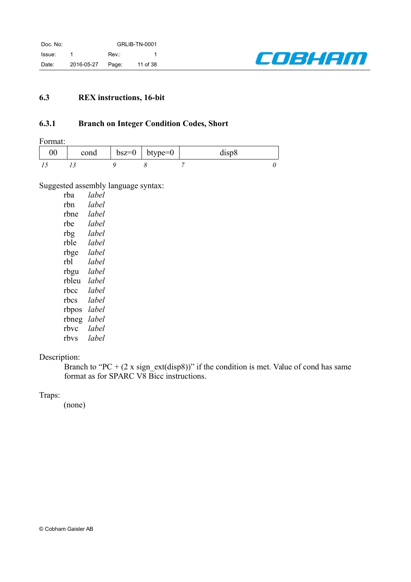

## <span id="page-10-0"></span>**6.3 REX instructions, 16-bit**

## <span id="page-10-1"></span>**6.3.1 Branch on Integer Condition Codes, Short**

Format:

| $00\,$ | cond | $bsz=0$   btype=0 | disp8 |
|--------|------|-------------------|-------|
|        |      |                   |       |

Suggested assembly language syntax:

| rba   | label |
|-------|-------|
| rbn   | label |
| rbne  | lahel |
| rhe   | label |
| rbg   | label |
| rble  | lahel |
| rbge  | lahel |
| rbl   | label |
| rbgu  | lahel |
| rbleu | lahel |
| rbcc  | label |
| rbcs  | lahel |
| rbpos | lahel |
| rbneg | label |
| rhvc  | label |
| rbvs  | lahel |
|       |       |

## Description:

Branch to "PC +  $(2 \times signext(disp8))$ " if the condition is met. Value of cond has same format as for SPARC V8 Bicc instructions.

### Traps: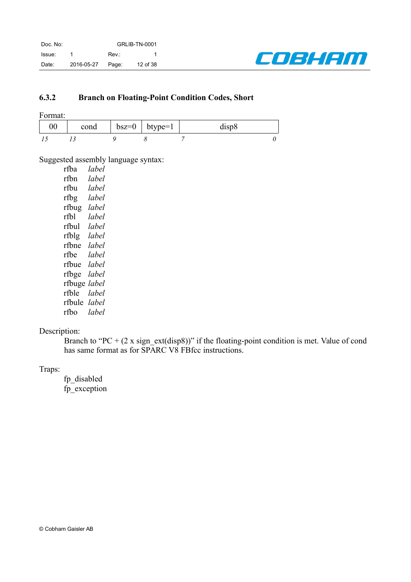

## <span id="page-11-0"></span>**6.3.2 Branch on Floating-Point Condition Codes, Short**

Format:

| $00\,$ | cond | $bsz=0$   btype=1 | disp <sub>8</sub> |  |
|--------|------|-------------------|-------------------|--|
|        |      |                   |                   |  |

Suggested assembly language syntax:

| rfba   | label |
|--------|-------|
| rfbn   | label |
| rfbu   | label |
| rfbg   | lahel |
| rfbug  | label |
| rfbl   | lahel |
| rfbul  | label |
| rfblg  | lahel |
| rfbne  | label |
| rfbe   | label |
| rfbue  | lahel |
| rfbge  | lahel |
| rfbuge | label |
| rfble  | lahel |
| rfbule | label |
| rfbo   | label |

## Description:

Branch to "PC +  $(2 \times sign{\text{ext}}(disp{8}))$ " if the floating-point condition is met. Value of cond has same format as for SPARC V8 FBfcc instructions.

Traps:

fp\_disabled fp\_exception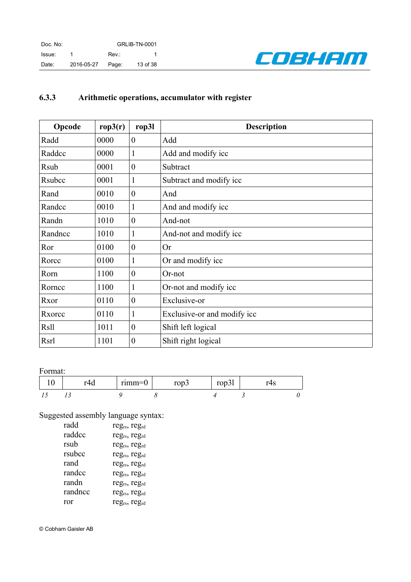

# <span id="page-12-0"></span>**6.3.3 Arithmetic operations, accumulator with register**

| Opcode      | rop3(r) | rop31            | <b>Description</b>          |  |
|-------------|---------|------------------|-----------------------------|--|
| Radd        | 0000    | $\boldsymbol{0}$ | Add                         |  |
| Raddcc      | 0000    |                  | Add and modify icc          |  |
| <b>Rsub</b> | 0001    | $\boldsymbol{0}$ | Subtract                    |  |
| Rsubcc      | 0001    | 1                | Subtract and modify icc     |  |
| Rand        | 0010    | $\boldsymbol{0}$ | And                         |  |
| Randcc      | 0010    | 1                | And and modify icc          |  |
| Randn       | 1010    | $\theta$         | And-not                     |  |
| Randncc     | 1010    | 1                | And-not and modify icc      |  |
| Ror         | 0100    | $\boldsymbol{0}$ | <b>Or</b>                   |  |
| Rorcc       | 0100    | 1                | Or and modify icc           |  |
| Rorn        | 1100    | $\boldsymbol{0}$ | Or-not                      |  |
| Rorncc      | 1100    | 1                | Or-not and modify icc       |  |
| Rxor        | 0110    | $\boldsymbol{0}$ | Exclusive-or                |  |
| Rxorcc      | 0110    |                  | Exclusive-or and modify icc |  |
| <b>Rsll</b> | 1011    | $\boldsymbol{0}$ | Shift left logical          |  |
| Rsrl        | 1101    | $\boldsymbol{0}$ | Shift right logical         |  |

### Format:

| $-4$ | $rumm=0$ | rop <sub>z</sub> | 220.325<br><b>LUPJL</b> | ט⊤ |  |
|------|----------|------------------|-------------------------|----|--|
|      |          |                  |                         |    |  |

Suggested assembly language syntax:

| radd    | $reg_{rs}$ , reg <sub>rd</sub>        |
|---------|---------------------------------------|
| raddcc  | reg <sub>rs</sub> , reg <sub>rd</sub> |
| rsub    | reg <sub>rs</sub> , reg <sub>rd</sub> |
| rsubcc  | $reg_{rs}$ , reg <sub>rd</sub>        |
| rand    | reg <sub>rs</sub> , reg <sub>rd</sub> |
| randcc  | $reg_{rs}$ , reg <sub>rd</sub>        |
| randn   | reg <sub>rs</sub> , reg <sub>rd</sub> |
| randncc | regrs, regrd                          |
| ror     | reg <sub>rs</sub> , reg <sub>rd</sub> |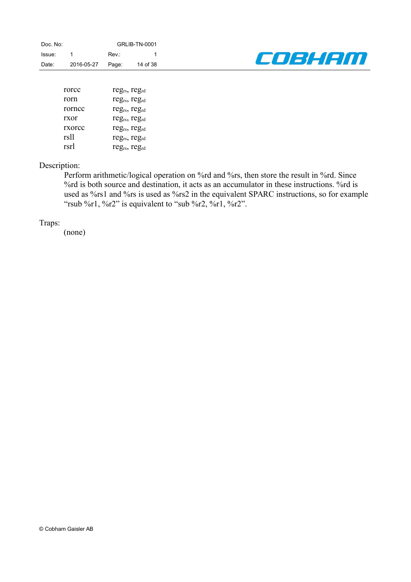

| rorce  | $reg_{rs}, reg_{rd}$                  |
|--------|---------------------------------------|
| rorn   | reg <sub>rs</sub> , reg <sub>rd</sub> |
| rornee | reg <sub>rs</sub> , reg <sub>rd</sub> |
| rxor   | $reg_{rs}$ , reg <sub>rd</sub>        |
| rxorce | $reg_{rs}, reg_{rd}$                  |
| rsll   | $reg_{rs}, reg_{rd}$                  |
| rsrl   | $reg_{rs}, reg_{rd}$                  |

### Description:

Perform arithmetic/logical operation on %rd and %rs, then store the result in %rd. Since %rd is both source and destination, it acts as an accumulator in these instructions. %rd is used as %rs1 and %rs is used as %rs2 in the equivalent SPARC instructions, so for example "rsub %r1, %r2" is equivalent to "sub %r2, %r1, %r2".

### Traps: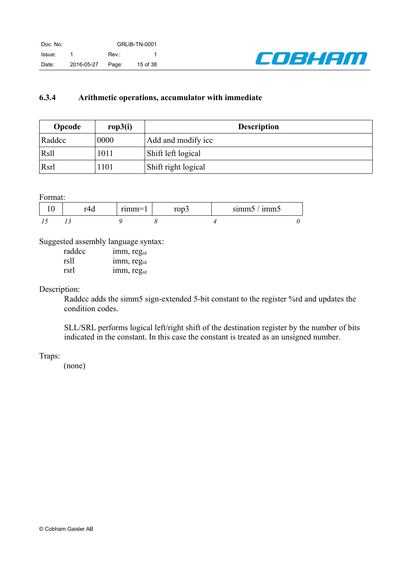

## <span id="page-14-0"></span>**6.3.4 Arithmetic operations, accumulator with immediate**

| Opcode | rop3(i) | <b>Description</b>  |  |
|--------|---------|---------------------|--|
| Raddcc | 0000    | Add and modify icc  |  |
| Rsll   | 1011    | Shift left logical  |  |
| Rsrl   | 1101    | Shift right logical |  |

Format:

|     | $r_1$ $m_2$ $-$ | $\sim$ $\sim$ $\sim$<br>$-00J$ | $\bullet$<br>cmm<br>1mm <sub>5</sub><br><b>SHIHILL</b> |  |
|-----|-----------------|--------------------------------|--------------------------------------------------------|--|
| . . |                 |                                |                                                        |  |

Suggested assembly language syntax:

| raddcc | 1mm, regrd             |
|--------|------------------------|
| rsll   | imm, reg <sub>rd</sub> |
| rsrl   | imm, regrd             |

Description:

Raddcc adds the simm5 sign-extended 5-bit constant to the register %rd and updates the condition codes.

SLL/SRL performs logical left/right shift of the destination register by the number of bits indicated in the constant. In this case the constant is treated as an unsigned number.

Traps: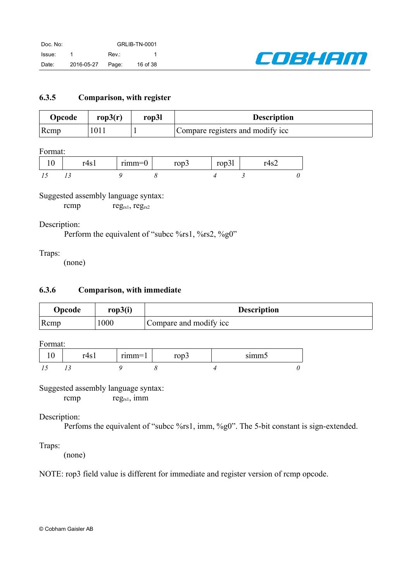

### <span id="page-15-0"></span>**6.3.5 Comparison, with register**

| Opcode          | rop $3(r)$       | rop3l | <b>Description</b>               |
|-----------------|------------------|-------|----------------------------------|
| $\mathsf{Rcmp}$ | 101 <sub>1</sub> |       | Compare registers and modify icc |

Format:

| $r/\sqrt{c}$<br>ு | $rumm=0$ | ron<br>1 U D J | $\sim$ $\sim$ $\sim$<br>$10\mu$ | ⊥ ⊤د |  |
|-------------------|----------|----------------|---------------------------------|------|--|
|                   |          |                |                                 |      |  |

## Suggested assembly language syntax:

rcmp reg<sub>rs1</sub>, reg<sub>rs2</sub>

Description:

Perform the equivalent of "subcc %rs1, %rs2, %g0"

Traps:

<span id="page-15-1"></span>(none)

## **6.3.6 Comparison, with immediate**

| Opcode          | rop3(i) | <b>Description</b>     |
|-----------------|---------|------------------------|
| $\mathsf{Rcmp}$ | 1000    | Compare and modify icc |

Format:

| ⊥ נטד | $rumm=$<br>,,,,,,,, | $-20$<br>$\mathsf{v}\mathsf{v}\mathsf{v}$ | 0.112003300 |  |
|-------|---------------------|-------------------------------------------|-------------|--|
|       |                     |                                           |             |  |

Suggested assembly language syntax:

rcmp  $reg_{rs1}$ , imm

## Description:

Perfoms the equivalent of "subcc %rs1, imm, %g0". The 5-bit constant is sign-extended.

## Traps:

(none)

NOTE: rop3 field value is different for immediate and register version of rcmp opcode.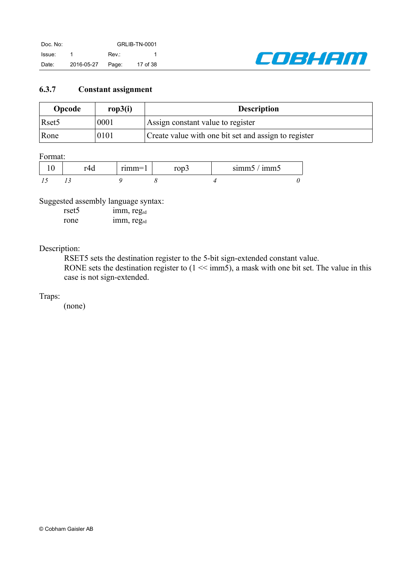

### <span id="page-16-0"></span>**6.3.7 Constant assignment**

| Opcode            | rop3(i) | <b>Description</b>                                   |
|-------------------|---------|------------------------------------------------------|
| Rset <sub>5</sub> | 0001    | Assign constant value to register                    |
| Rone              | 0101    | Create value with one bit set and assign to register |

#### Format:

|  | $r_1$ $m m = 1$ | $\sim$ | $\bullet$<br>. .<br>simm5<br>1mm <sub>5</sub> |  |
|--|-----------------|--------|-----------------------------------------------|--|
|  |                 |        |                                               |  |

## Suggested assembly language syntax:

| rset <sub>5</sub> | $1mm$ , reg <sub>rd</sub> |
|-------------------|---------------------------|
| rone              | 1mm, reg <sub>rd</sub>    |

### Description:

RSET5 sets the destination register to the 5-bit sign-extended constant value.

RONE sets the destination register to  $(1 \ll \text{imm5})$ , a mask with one bit set. The value in this case is not sign-extended.

### Traps: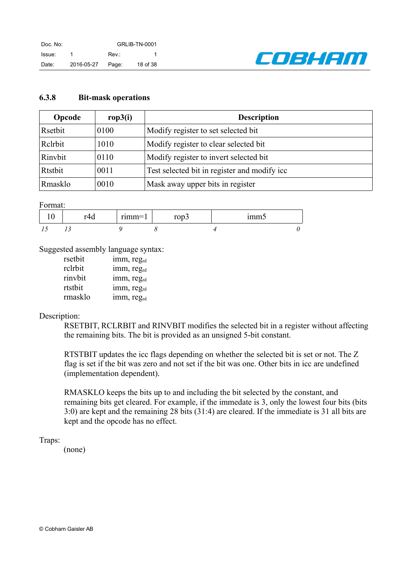

### <span id="page-17-0"></span>**6.3.8 Bit-mask operations**

| Opcode  | rop3(i) | <b>Description</b>                            |
|---------|---------|-----------------------------------------------|
| Rsetbit | 0100    | Modify register to set selected bit           |
| Relrbit | 1010    | Modify register to clear selected bit.        |
| Rinybit | 0110    | Modify register to invert selected bit.       |
| Rtstbit | 0011    | Test selected bit in register and modify icc. |
| Rmasklo | 0010    | Mask away upper bits in register              |

Format:

| $-1$<br>. . | $r$ <sub>1</sub> $m$ $m$ $=$ $\mid$ | ----<br><b>้ม</b><br>$\ddot{\phantom{0}}$ | <b>*******</b><br> |  |
|-------------|-------------------------------------|-------------------------------------------|--------------------|--|
|             |                                     |                                           |                    |  |

Suggested assembly language syntax:

| rsetbit | imm, reg <sub>rd</sub> |
|---------|------------------------|
| rclrbit | imm, reg <sub>rd</sub> |
| rinvbit | imm, reg <sub>rd</sub> |
| rtstbit | imm, reg <sub>rd</sub> |
| rmasklo | imm, reg <sub>rd</sub> |

#### Description:

RSETBIT, RCLRBIT and RINVBIT modifies the selected bit in a register without affecting the remaining bits. The bit is provided as an unsigned 5-bit constant.

RTSTBIT updates the icc flags depending on whether the selected bit is set or not. The Z flag is set if the bit was zero and not set if the bit was one. Other bits in icc are undefined (implementation dependent).

RMASKLO keeps the bits up to and including the bit selected by the constant, and remaining bits get cleared. For example, if the immedate is 3, only the lowest four bits (bits 3:0) are kept and the remaining 28 bits (31:4) are cleared. If the immediate is 31 all bits are kept and the opcode has no effect.

Traps: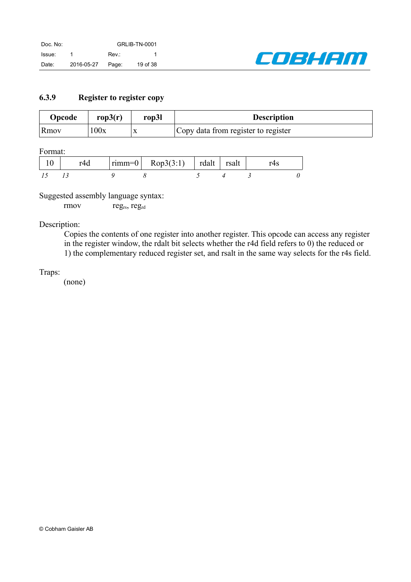

## <span id="page-18-0"></span>**6.3.9 Register to register copy**

| Opcode | rop $3(r)$ | rop3l     | <b>Description</b>                  |
|--------|------------|-----------|-------------------------------------|
| Rmov   | 100x       | $\Lambda$ | Copy data from register to register |

Format:

|  | $\vert$ rimm=0 $\vert$ Rop3(3:1) $\vert$ rdalt $\vert$ 1 | rsalt |  |
|--|----------------------------------------------------------|-------|--|
|  |                                                          |       |  |

Suggested assembly language syntax:

rmov reg<sub>rs</sub>, reg<sub>rd</sub>

Description:

Copies the contents of one register into another register. This opcode can access any register in the register window, the rdalt bit selects whether the r4d field refers to 0) the reduced or 1) the complementary reduced register set, and rsalt in the same way selects for the r4s field.

Traps: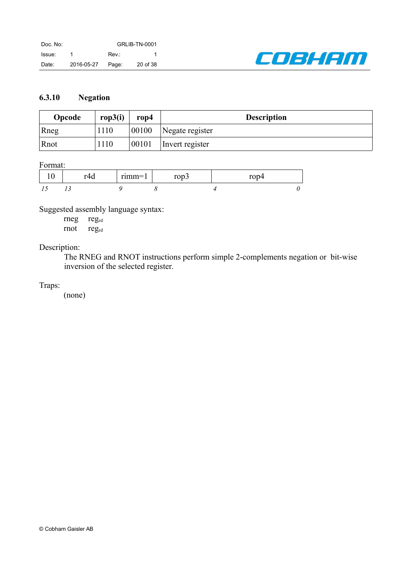

## <span id="page-19-0"></span>**6.3.10 Negation**

| Opcode | rop3(i) | $\bf{rop4}$ | <b>Description</b> |
|--------|---------|-------------|--------------------|
| Rneg   | 1110    | 00100       | Negate register    |
| Rnot   | 1110    | 00101       | Invert register    |

### Format:

|  | $mm$ $-$<br>-------- |  |  |
|--|----------------------|--|--|
|  |                      |  |  |

Suggested assembly language syntax:

rneg regrd rnot regrd

Description:

The RNEG and RNOT instructions perform simple 2-complements negation or bit-wise inversion of the selected register.

Traps: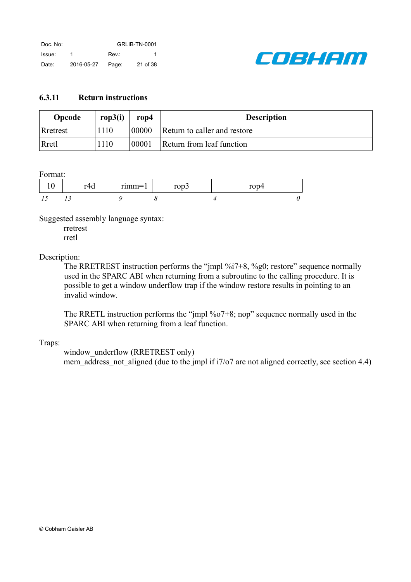

### <span id="page-20-0"></span>**6.3.11 Return instructions**

| Opcode   | rop $3(i)$ | rop4  | <b>Description</b>           |
|----------|------------|-------|------------------------------|
| Rretrest | 1110       | 00000 | Return to caller and restore |
| Rretl    | 1110       | 00001 | Return from leaf function    |

Format:

| $\overline{\phantom{a}}$<br>. . | <br>_ | -----<br>$\sim$ $\sim$ $\sim$ | . |  |
|---------------------------------|-------|-------------------------------|---|--|
|                                 |       |                               |   |  |

Suggested assembly language syntax:

rretrest rretl

### Description:

The RRETREST instruction performs the "jmpl %i7+8, %g0; restore" sequence normally used in the SPARC ABI when returning from a subroutine to the calling procedure. It is possible to get a window underflow trap if the window restore results in pointing to an invalid window.

The RRETL instruction performs the "jmpl %o7+8; nop" sequence normally used in the SPARC ABI when returning from a leaf function.

### Traps:

window underflow (RRETREST only) mem address not aligned (due to the jmpl if i7/o7 are not aligned correctly, see section [4.4\)](#page-6-2)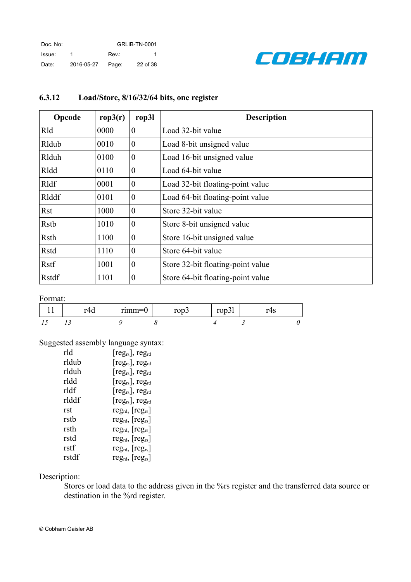

| Opcode       | rop3(r) | rop31            | <b>Description</b>                |
|--------------|---------|------------------|-----------------------------------|
| Rld          | 0000    | $\boldsymbol{0}$ | Load 32-bit value                 |
| Rldub        | 0010    | $\theta$         | Load 8-bit unsigned value         |
| Rlduh        | 0100    | $\boldsymbol{0}$ | Load 16-bit unsigned value        |
| Rldd         | 0110    | $\boldsymbol{0}$ | Load 64-bit value                 |
| Rldf         | 0001    | $\boldsymbol{0}$ | Load 32-bit floating-point value  |
| Rlddf        | 0101    | $\boldsymbol{0}$ | Load 64-bit floating-point value  |
| <b>Rst</b>   | 1000    | $\boldsymbol{0}$ | Store 32-bit value                |
| Rstb         | 1010    | $\theta$         | Store 8-bit unsigned value        |
| Rsth         | 1100    | $\theta$         | Store 16-bit unsigned value       |
| <b>Rstd</b>  | 1110    | $\overline{0}$   | Store 64-bit value                |
| Rstf         | 1001    | $\overline{0}$   | Store 32-bit floating-point value |
| <b>Rstdf</b> | 1101    | $\overline{0}$   | Store 64-bit floating-point value |

## <span id="page-21-0"></span>**6.3.12 Load/Store, 8/16/32/64 bits, one register**

Format:

|  | $rumm=1$ | r∩n<br>1 U D J | $-20$<br>10pJ1 | πυ |  |
|--|----------|----------------|----------------|----|--|
|  |          |                |                |    |  |

## Suggested assembly language syntax:

| rld   | $[\text{reg}_{rs}]$ , reg <sub>rd</sub> |
|-------|-----------------------------------------|
| rldub | $[\text{reg}_{rs}]$ , reg <sub>rd</sub> |
| rlduh | $[\text{reg}_{rs}]$ , reg <sub>rd</sub> |
| rldd  | $[\text{reg}_{rs}]$ , reg <sub>rd</sub> |
| rldf  | $[\text{reg}_{rs}]$ , reg <sub>rd</sub> |
| rlddf | $[\text{reg}_{rs}]$ , reg <sub>rd</sub> |
| rst   | $reg_{rd}$ , $[reg_{rs}]$               |
| rstb  | $reg_{rd}$ , $[reg_{rs}]$               |
| rsth  | $reg_{rd}$ , $[reg_{rs}]$               |
| rstd  | $reg_{rd}$ , $[reg_{rs}]$               |
| rstf  | $reg_{rd}$ , $[reg_{rs}]$               |
| rstdf | $reg_{rd}$ , $[reg_{rs}]$               |

### Description:

Stores or load data to the address given in the %rs register and the transferred data source or destination in the %rd register.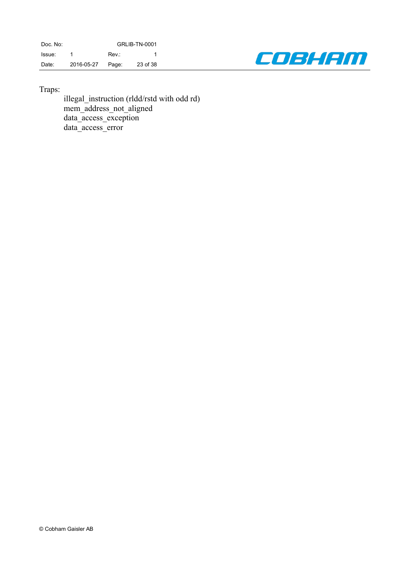Doc. No: GRLIB-TN-0001 Issue: 1 Rev.: 1 Date: 2016-05-27 Page: 23 of 38



Traps:

illegal\_instruction (rldd/rstd with odd rd) mem\_address\_not\_aligned data\_access\_exception data\_access\_error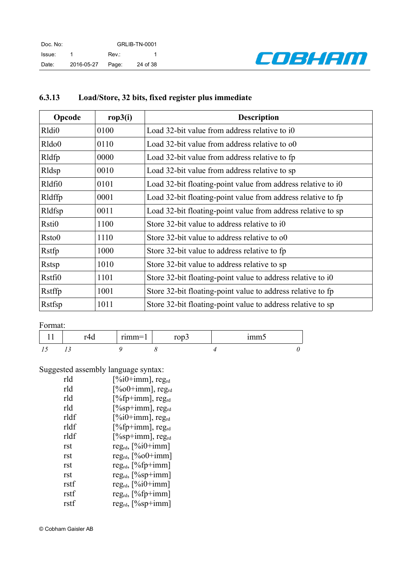

| Opcode             | rop3(i) | <b>Description</b>                                           |
|--------------------|---------|--------------------------------------------------------------|
| Rldi <sub>0</sub>  | 0100    | Load 32-bit value from address relative to i0                |
| Rldo <sub>0</sub>  | 0110    | Load 32-bit value from address relative to o0                |
| Rldfp              | 0000    | Load 32-bit value from address relative to fp                |
| Rldsp              | 0010    | Load 32-bit value from address relative to sp                |
| Rldfi0             | 0101    | Load 32-bit floating-point value from address relative to i0 |
| Rldffp             | 0001    | Load 32-bit floating-point value from address relative to fp |
| Rldfsp             | 0011    | Load 32-bit floating-point value from address relative to sp |
| Rsti <sub>0</sub>  | 1100    | Store 32-bit value to address relative to i0                 |
| R <sub>sto</sub> 0 | 1110    | Store 32-bit value to address relative to o0                 |
| Rstfp              | 1000    | Store 32-bit value to address relative to fp                 |
| Rstsp              | 1010    | Store 32-bit value to address relative to sp                 |
| Rstfi0             | 1101    | Store 32-bit floating-point value to address relative to i0  |
| Rstffp             | 1001    | Store 32-bit floating-point value to address relative to fp  |
| Rstfsp             | 1011    | Store 32-bit floating-point value to address relative to sp  |

# <span id="page-23-0"></span>**6.3.13 Load/Store, 32 bits, fixed register plus immediate**

Format:

| r4d | $\bullet$<br>$r$ <sub>1</sub> $m$ $m$ $=$ $l$<br>. | $\sim$ $\sim$ $\sim$<br>10DJ | <br>шшпе |  |
|-----|----------------------------------------------------|------------------------------|----------|--|
|     |                                                    |                              |          |  |

## Suggested assembly language syntax:

| rld  | $[%i0+imm]$ , reg <sub>rd</sub>  |
|------|----------------------------------|
| rld  | $[\%00+imm]$ , reg <sub>rd</sub> |
| rld  | $[%$ fp+imm], reg <sub>rd</sub>  |
| rld  | $[%sp+imm]$ , reg <sub>rd</sub>  |
| rldf | $[\%i0+imm]$ , reg <sub>rd</sub> |
| rldf | $[%$ fp+imm], reg <sub>rd</sub>  |
| rldf | $[%sp+imm]$ , reg <sub>rd</sub>  |
| rst  | $reg_{rd}$ , $[\%i0+imm]$        |
| rst  | $reg_{rd}$ , $[\%of]$ -imm]      |
| rst  | $reg_{rd}$ , [%fp+imm]           |
| rst  | $reg_{rd}$ , $[\%sp+imm]$        |
| rstf | $reg_{rd}$ , $[\%i0+imm]$        |
| rstf | $reg_{rd}$ , $[\%fp+imm]$        |
| rstf | reg <sub>rd</sub> , [%sp+imm]    |

© Cobham Gaisler AB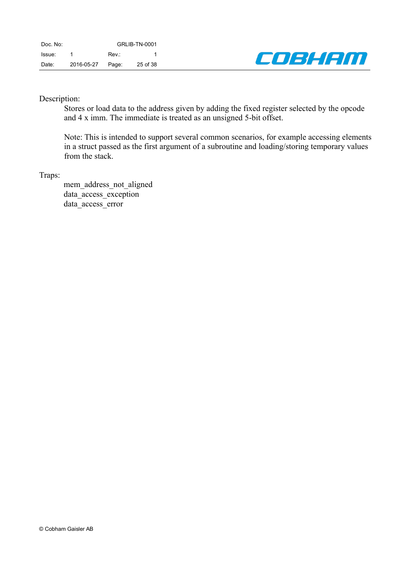

### Description:

Stores or load data to the address given by adding the fixed register selected by the opcode and 4 x imm. The immediate is treated as an unsigned 5-bit offset.

Note: This is intended to support several common scenarios, for example accessing elements in a struct passed as the first argument of a subroutine and loading/storing temporary values from the stack.

#### Traps:

mem\_address\_not\_aligned data\_access\_exception data access error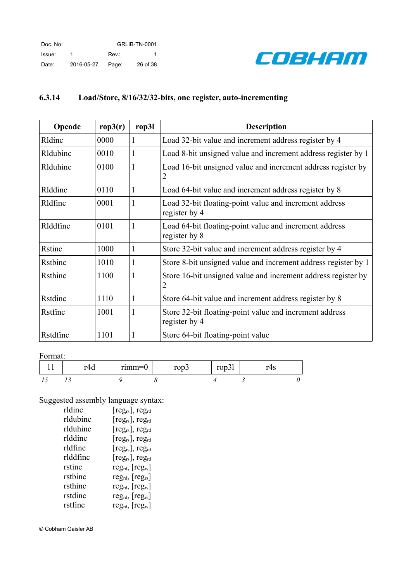

## <span id="page-25-0"></span>**6.3.14 Load/Store, 8/16/32/32-bits, one register, auto-incrementing**

| Opcode   | rop3(r) | rop31 | <b>Description</b>                                                              |
|----------|---------|-------|---------------------------------------------------------------------------------|
| Rldinc   | 0000    | 1     | Load 32-bit value and increment address register by 4                           |
| Rldubinc | 0010    | 1     | Load 8-bit unsigned value and increment address register by 1                   |
| Rlduhinc | 0100    | 1     | Load 16-bit unsigned value and increment address register by<br>2               |
| Rlddinc  | 0110    | 1     | Load 64-bit value and increment address register by 8                           |
| Rldfinc  | 0001    | 1     | Load 32-bit floating-point value and increment address<br>register by 4         |
| Rlddfinc | 0101    | 1     | Load 64-bit floating-point value and increment address<br>register by 8         |
| Rstinc   | 1000    | 1     | Store 32-bit value and increment address register by 4                          |
| Rstbinc  | 1010    | 1     | Store 8-bit unsigned value and increment address register by 1                  |
| Rsthinc  | 1100    | 1     | Store 16-bit unsigned value and increment address register by<br>$\overline{2}$ |
| Rstdinc  | 1110    | 1     | Store 64-bit value and increment address register by 8                          |
| Rstfinc  | 1001    |       | Store 32-bit floating-point value and increment address<br>register by 4        |
| Rstdfinc | 1101    | 1     | Store 64-bit floating-point value                                               |

#### Format:

| $-4$<br><u>.u</u> | $r$ ımm $=$ ( | $200-12$<br>↩<br>$\cdot$ | 1 UPJ 1 | ᠇ა |  |
|-------------------|---------------|--------------------------|---------|----|--|
|                   |               |                          |         |    |  |

Suggested assembly language syntax:

| rldinc   | $[\text{reg}_{rs}]$ , reg <sub>rd</sub> |
|----------|-----------------------------------------|
| rldubinc | $[\text{reg}_{rs}]$ , reg <sub>rd</sub> |
| rlduhinc | $[\text{reg}_{rs}]$ , reg <sub>rd</sub> |
| rlddinc  | $[\text{reg}_{rs}]$ , reg <sub>rd</sub> |
| rldfinc  | $[\text{reg}_{rs}]$ , reg <sub>rd</sub> |
| rlddfinc | $[reg_{rs}]$ , reg <sub>rd</sub>        |
| rstinc   | $reg_{rd}$ , $[reg_{rs}]$               |
| rstbinc  | $reg_{rd}$ , $[reg_{rs}]$               |
| rsthinc  | $reg_{rd}$ , $[reg_{rs}]$               |
| rstdinc  | $reg_{rd}$ , $[reg_{rs}]$               |
| rstfinc  | $reg_{rd}$ , $[reg_{rs}]$               |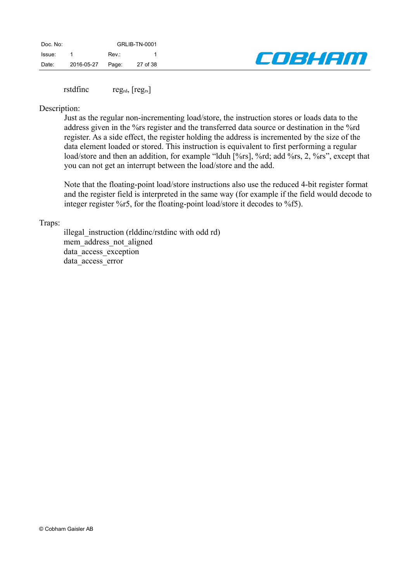| Doc. No: |            | <b>GRLIB-TN-0001</b> |          |  |  |
|----------|------------|----------------------|----------|--|--|
| Issue:   |            | Rev.:                |          |  |  |
| Date:    | 2016-05-27 | Page:                | 27 of 38 |  |  |



rstdfinc reg<sub>rd</sub>, [reg<sub>rs</sub>]

#### Description:

Just as the regular non-incrementing load/store, the instruction stores or loads data to the address given in the %rs register and the transferred data source or destination in the %rd register. As a side effect, the register holding the address is incremented by the size of the data element loaded or stored. This instruction is equivalent to first performing a regular load/store and then an addition, for example "lduh [%rs], %rd; add %rs, 2, %rs", except that you can not get an interrupt between the load/store and the add.

Note that the floating-point load/store instructions also use the reduced 4-bit register format and the register field is interpreted in the same way (for example if the field would decode to integer register %r5, for the floating-point load/store it decodes to %f5).

#### Traps:

illegal instruction (rlddinc/rstdinc with odd rd) mem\_address\_not\_aligned data access exception data access error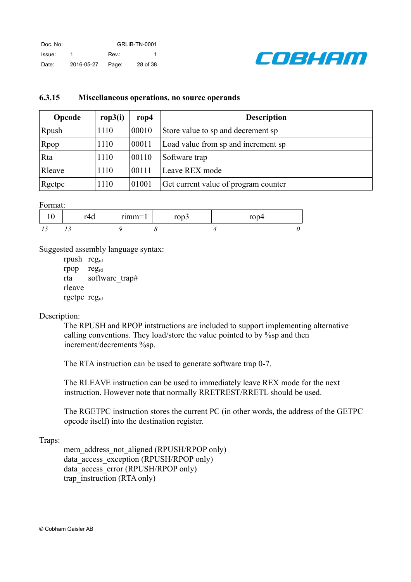

#### <span id="page-27-0"></span>**6.3.15 Miscellaneous operations, no source operands**

| Opcode | rop3(i) | $\bf{rop4}$ | <b>Description</b>                   |
|--------|---------|-------------|--------------------------------------|
| Rpush  | 1110    | 00010       | Store value to sp and decrement sp   |
| Rpop   | 1110    | 00011       | Load value from sp and increment sp  |
| Rta    | 1110    | 00110       | Software trap                        |
| Rleave | 1110    | 00111       | Leave REX mode                       |
| Rgetpc | 1110    | 01001       | Get current value of program counter |

Format:

| $\sim$ | $r_1$ $m_2$ | $\sim$<br>vν. | . . |
|--------|-------------|---------------|-----|
|        |             |               |     |

Suggested assembly language syntax:

rpush regrd rpop regrd rta software\_trap# rleave rgetpc regrd

### Description:

The RPUSH and RPOP intstructions are included to support implementing alternative calling conventions. They load/store the value pointed to by %sp and then increment/decrements %sp.

The RTA instruction can be used to generate software trap 0-7.

The RLEAVE instruction can be used to immediately leave REX mode for the next instruction. However note that normally RRETREST/RRETL should be used.

The RGETPC instruction stores the current PC (in other words, the address of the GETPC opcode itself) into the destination register.

#### Traps:

mem\_address\_not\_aligned (RPUSH/RPOP only) data access exception (RPUSH/RPOP only) data\_access\_error (RPUSH/RPOP only) trap instruction (RTA only)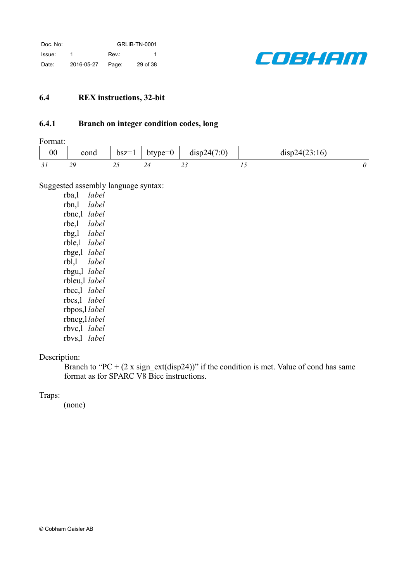

## <span id="page-28-0"></span>**6.4 REX instructions, 32-bit**

### <span id="page-28-1"></span>**6.4.1 Branch on integer condition codes, long**

Format:

| $00\,$ | cond | $bsz=1$ | $btype=0$ | disp24(7:0) | disp24(23:16) |  |
|--------|------|---------|-----------|-------------|---------------|--|
| IJ     |      | ∸~      |           | --          |               |  |

Suggested assembly language syntax:

rba,l *label* rbn,l *label* rbne,l *label* rbe,l *label* rbg,l *label* rble,l *label* rbge,l *label* rbl,l *label* rbgu,l *label* rbleu,l *label* rbcc,l *label* rbcs,l *label* rbpos,l *label* rbneg,l *label* rbvc,l *label* rbvs,l *label*

## Description:

Branch to "PC +  $(2 \times sign \text{ ext}(disp24))$ " if the condition is met. Value of cond has same format as for SPARC V8 Bicc instructions.

#### Traps: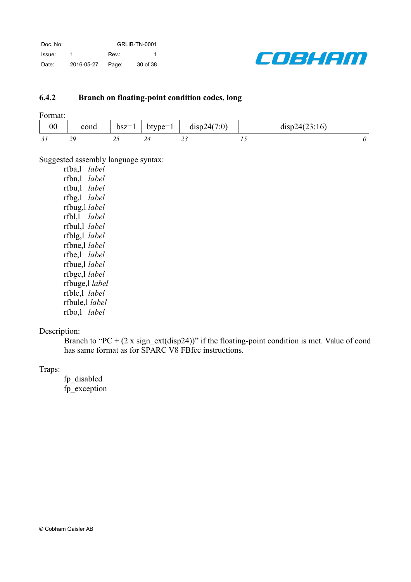

## <span id="page-29-0"></span>**6.4.2 Branch on floating-point condition codes, long**

| $00\,$ | cond | $bsz=1$ | btype=1 | disp24(7:0) | disp24(23:16) |  |
|--------|------|---------|---------|-------------|---------------|--|
| ـر.    | ر پ  | ں ک     |         | "           |               |  |

Suggested assembly language syntax:

| lahel<br>rfba,l  |  |
|------------------|--|
| label<br>rfbn,l  |  |
| label<br>rfbu,l  |  |
| rfbg,l<br>label  |  |
| rfbug,l<br>label |  |
| rfbl,l<br>label  |  |
| label<br>rfbul,l |  |
| rfblg,l label    |  |
| rfbne,l label    |  |
| rfbe,l label     |  |
| rfbue,l label    |  |
| rfbge,l label    |  |
| rfbuge,l label   |  |
| rfble,l label    |  |
| rfbule,l label   |  |
| rfbo,l label     |  |
|                  |  |

## Description:

Branch to "PC +  $(2 \times sign{\text{ext}}(disp24))$ " if the floating-point condition is met. Value of cond has same format as for SPARC V8 FBfcc instructions.

Traps:

fp\_disabled fp\_exception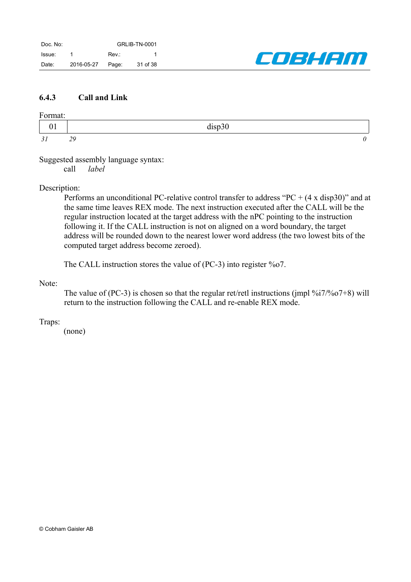

### <span id="page-30-0"></span>**6.4.3 Call and Link**

#### Format:

|      | $\lim_{\alpha \to 0}$<br>ul |  |
|------|-----------------------------|--|
| - 71 | $\Delta$<br>--              |  |

Suggested assembly language syntax:

call *label*

### Description:

Performs an unconditional PC-relative control transfer to address "PC  $+$  (4 x disp30)" and at the same time leaves REX mode. The next instruction executed after the CALL will be the regular instruction located at the target address with the nPC pointing to the instruction following it. If the CALL instruction is not on aligned on a word boundary, the target address will be rounded down to the nearest lower word address (the two lowest bits of the computed target address become zeroed).

The CALL instruction stores the value of (PC-3) into register %o7.

### Note:

The value of (PC-3) is chosen so that the regular ret/retl instructions (jmpl  $\%i7/\%o7+8$ ) will return to the instruction following the CALL and re-enable REX mode.

### Traps: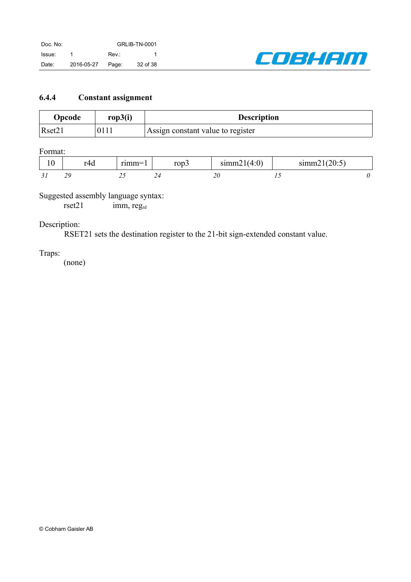

## <span id="page-31-0"></span>**6.4.4 Constant assignment**

| Opcode | rop3(i) | <b>Description</b>                |
|--------|---------|-----------------------------------|
| Rset21 | 0111    | Assign constant value to register |

Format:

| ໍດ<br>1 V | $T\Delta t$ .<br>17u | $\cdots$ | rop3 | summ2<br>(4:0) | 121(20:5)<br>sum21 |  |
|-----------|----------------------|----------|------|----------------|--------------------|--|
| ັ້        | 20                   | ں گ      | ∠−   | 4 U            | $\sim$             |  |

## Suggested assembly language syntax:

rset21 imm, reg<sub>rd</sub>

## Description:

RSET21 sets the destination register to the 21-bit sign-extended constant value.

### Traps: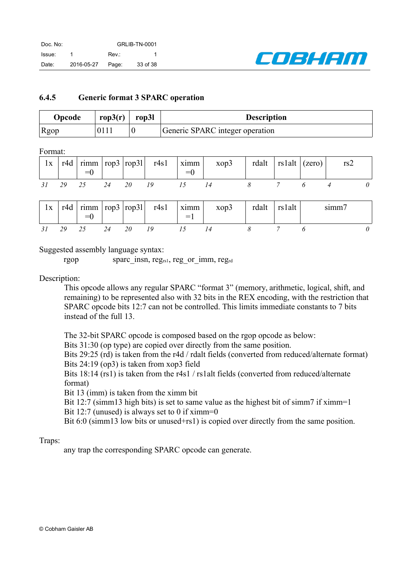

### <span id="page-32-0"></span>**6.4.5 Generic format 3 SPARC operation**

| Opcode | rop $3(r)$ | rop3l | <b>Description</b>              |
|--------|------------|-------|---------------------------------|
| Rgop   | 0111       |       | Generic SPARC integer operation |

Format:

| 1x |    | $= 0$ |       | $\vert$ r4d $\vert$ rimm $\vert$ rop3 $\vert$ rop31 r4s1 $\vert$ ximm $\vert$ | $=0$ | xop3 | $\vert$ rdalt $\vert$ rs1alt $\vert$ (zero) $\vert$ |  | rs2 |  |
|----|----|-------|-------|-------------------------------------------------------------------------------|------|------|-----------------------------------------------------|--|-----|--|
|    | 29 | 25    | 24 20 |                                                                               |      |      |                                                     |  |     |  |

| 1x | r4d | $\vert$ rimm $\vert$ rop3 $\vert$ rop31 $\vert$<br>$=$ U |  | r4s1 | xımm<br>$=$ | xop3 | rdalt | rslalt | summ |  |
|----|-----|----------------------------------------------------------|--|------|-------------|------|-------|--------|------|--|
|    |     | ້                                                        |  |      |             |      |       |        |      |  |

Suggested assembly language syntax:

rgop sparc insn, reg<sub>rs1</sub>, reg or imm, reg<sub>rd</sub>

Description:

This opcode allows any regular SPARC "format 3" (memory, arithmetic, logical, shift, and remaining) to be represented also with 32 bits in the REX encoding, with the restriction that SPARC opcode bits 12:7 can not be controlled. This limits immediate constants to 7 bits instead of the full 13.

The 32-bit SPARC opcode is composed based on the rgop opcode as below:

Bits 31:30 (op type) are copied over directly from the same position.

Bits 29:25 (rd) is taken from the r4d / rdalt fields (converted from reduced/alternate format) Bits 24:19 (op3) is taken from xop3 field

Bits 18:14 (rs1) is taken from the r4s1 / rs1alt fields (converted from reduced/alternate format)

Bit 13 (imm) is taken from the ximm bit

Bit 12:7 (simm13 high bits) is set to same value as the highest bit of simm7 if ximm=1 Bit 12:7 (unused) is always set to 0 if ximm=0

Bit 6:0 (simm13 low bits or unused+rs1) is copied over directly from the same position.

### Traps:

any trap the corresponding SPARC opcode can generate.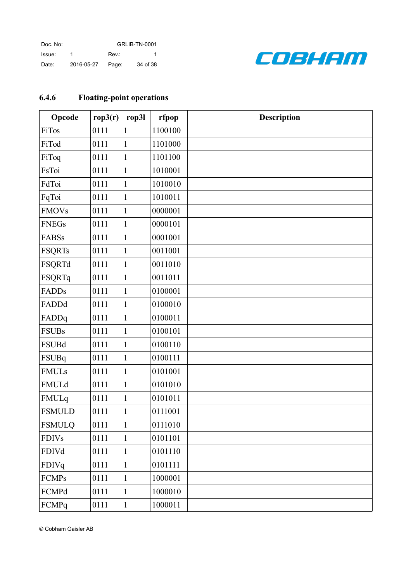| Doc. No: |            | <b>GRLIB-TN-0001</b> |          |  |
|----------|------------|----------------------|----------|--|
| Issue:   |            | Rev.:                |          |  |
| Date:    | 2016-05-27 | Page:                | 34 of 38 |  |



# <span id="page-33-0"></span>**6.4.6 Floating-point operations**

| Opcode        | rop3(r) | rop31        | rfpop   | <b>Description</b> |
|---------------|---------|--------------|---------|--------------------|
| FiTos         | 0111    | 1            | 1100100 |                    |
| FiTod         | 0111    | $\mathbf{1}$ | 1101000 |                    |
| FiToq         | 0111    | $\mathbf{1}$ | 1101100 |                    |
| FsToi         | 0111    | $\mathbf{1}$ | 1010001 |                    |
| FdToi         | 0111    | $\mathbf{1}$ | 1010010 |                    |
| FqToi         | 0111    | $\mathbf{1}$ | 1010011 |                    |
| <b>FMOVs</b>  | 0111    | $\mathbf{1}$ | 0000001 |                    |
| <b>FNEGs</b>  | 0111    | $\mathbf{1}$ | 0000101 |                    |
| <b>FABSs</b>  | 0111    | $\mathbf{1}$ | 0001001 |                    |
| <b>FSQRTs</b> | 0111    | $\mathbf{1}$ | 0011001 |                    |
| <b>FSQRTd</b> | 0111    | $\mathbf{1}$ | 0011010 |                    |
| <b>FSQRTq</b> | 0111    | $\mathbf{1}$ | 0011011 |                    |
| <b>FADDs</b>  | 0111    | $\mathbf{1}$ | 0100001 |                    |
| FADDd         | 0111    | $\mathbf{1}$ | 0100010 |                    |
| FADDq         | 0111    | $\mathbf{1}$ | 0100011 |                    |
| <b>FSUBs</b>  | 0111    | $\mathbf{1}$ | 0100101 |                    |
| <b>FSUBd</b>  | 0111    | $\mathbf{1}$ | 0100110 |                    |
| FSUBq         | 0111    | $\mathbf{1}$ | 0100111 |                    |
| <b>FMULs</b>  | 0111    | $\mathbf{1}$ | 0101001 |                    |
| FMULd         | 0111    | $\mathbf{1}$ | 0101010 |                    |
| FMULq         | 0111    | $\mathbf{1}$ | 0101011 |                    |
| <b>FSMULD</b> | 0111    | $\mathbf{1}$ | 0111001 |                    |
| <b>FSMULQ</b> | 0111    | $\mathbf{1}$ | 0111010 |                    |
| <b>FDIVs</b>  | 0111    | $\mathbf{1}$ | 0101101 |                    |
| <b>FDIVd</b>  | 0111    | $\mathbf{1}$ | 0101110 |                    |
| FDIVq         | 0111    | $\mathbf{1}$ | 0101111 |                    |
| <b>FCMPs</b>  | 0111    | $\mathbf{1}$ | 1000001 |                    |
| FCMPd         | 0111    | $\mathbf{1}$ | 1000010 |                    |
| FCMPq         | 0111    | $\mathbf{1}$ | 1000011 |                    |

© Cobham Gaisler AB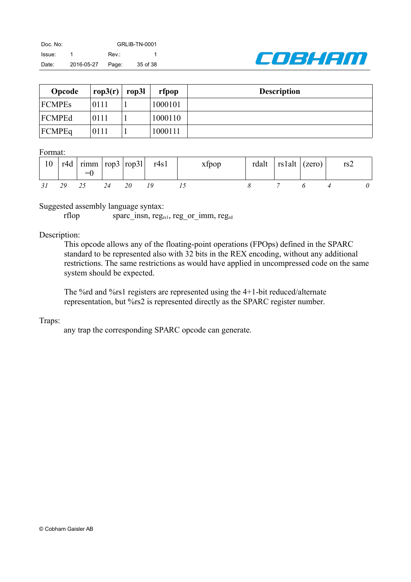

| Opcode        | rop3(r) | rop3l | rfpop   | <b>Description</b> |
|---------------|---------|-------|---------|--------------------|
| <b>FCMPEs</b> | 0111    |       | 1000101 |                    |
| FCMPEd        | 0111    |       | 1000110 |                    |
| <b>FCMPEq</b> | 0111    |       | 1000111 |                    |

#### Format:

| 10 |    |    |           | $\frac{1}{2}$ r4d   rimm   rop3   rop31   r4s1 | xfpop | rdalt <sup>'</sup> | $\vert$ rs1alt $\vert$ (zero) $\vert$ | rs2 |  |
|----|----|----|-----------|------------------------------------------------|-------|--------------------|---------------------------------------|-----|--|
|    | 29 | 25 | <i>20</i> |                                                |       |                    |                                       |     |  |

Suggested assembly language syntax:

rflop sparc insn, reg<sub>rs1</sub>, reg or imm, reg<sub>rd</sub>

### Description:

This opcode allows any of the floating-point operations (FPOps) defined in the SPARC standard to be represented also with 32 bits in the REX encoding, without any additional restrictions. The same restrictions as would have applied in uncompressed code on the same system should be expected.

The %rd and %rs1 registers are represented using the 4+1-bit reduced/alternate representation, but %rs2 is represented directly as the SPARC register number.

### Traps:

any trap the corresponding SPARC opcode can generate.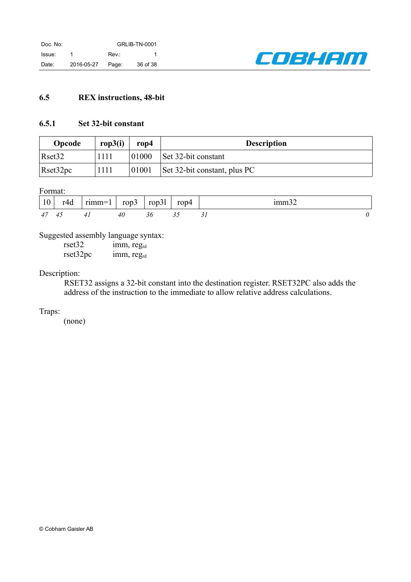

## <span id="page-35-0"></span>**6.5 REX instructions, 48-bit**

### <span id="page-35-1"></span>**6.5.1 Set 32-bit constant**

| Opcode             | rop3(i) | rop4  | <b>Description</b>           |
|--------------------|---------|-------|------------------------------|
| Rset <sub>32</sub> | 1111    | 01000 | Set 32-bit constant          |
| Reset32pc          | 1111    | 01001 | Set 32-bit constant, plus PC |

Format:

| $\mid$ 10 | r4d | $rimm=1$ | rop3 | rop31 | rop4 | 1mm <sub>3</sub> |
|-----------|-----|----------|------|-------|------|------------------|
| 47        | 4.  |          |      |       |      |                  |

Suggested assembly language syntax:

rset32 imm, reg<sub>rd</sub> rset32pc imm, regrd

### Description:

RSET32 assigns a 32-bit constant into the destination register. RSET32PC also adds the address of the instruction to the immediate to allow relative address calculations.

Traps: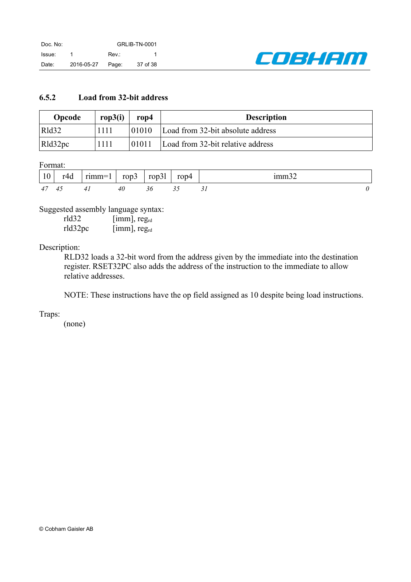

## <span id="page-36-0"></span>**6.5.2 Load from 32-bit address**

| <b>Opcode</b> | rop $3(i)$ | rop4  | <b>Description</b>                |
|---------------|------------|-------|-----------------------------------|
| Rld32         | 1111       | 01010 | Load from 32-bit absolute address |
| Rld32pc       | 1111       | 01011 | Load from 32-bit relative address |

Format:

| 10             | r∆d           | $rimm=1$ | rop $3$ | rop31 | rop4 |  |
|----------------|---------------|----------|---------|-------|------|--|
| 4 <sub>l</sub> | $\mathcal{A}$ |          | 40      |       |      |  |

Suggested assembly language syntax:

| rld32   | $[{\rm imm}]$ , reg <sub>rd</sub>    |
|---------|--------------------------------------|
| rld32pc | $[{\text{imm}}]$ , reg <sub>rd</sub> |

### Description:

RLD32 loads a 32-bit word from the address given by the immediate into the destination register. RSET32PC also adds the address of the instruction to the immediate to allow relative addresses.

NOTE: These instructions have the op field assigned as 10 despite being load instructions.

Traps: